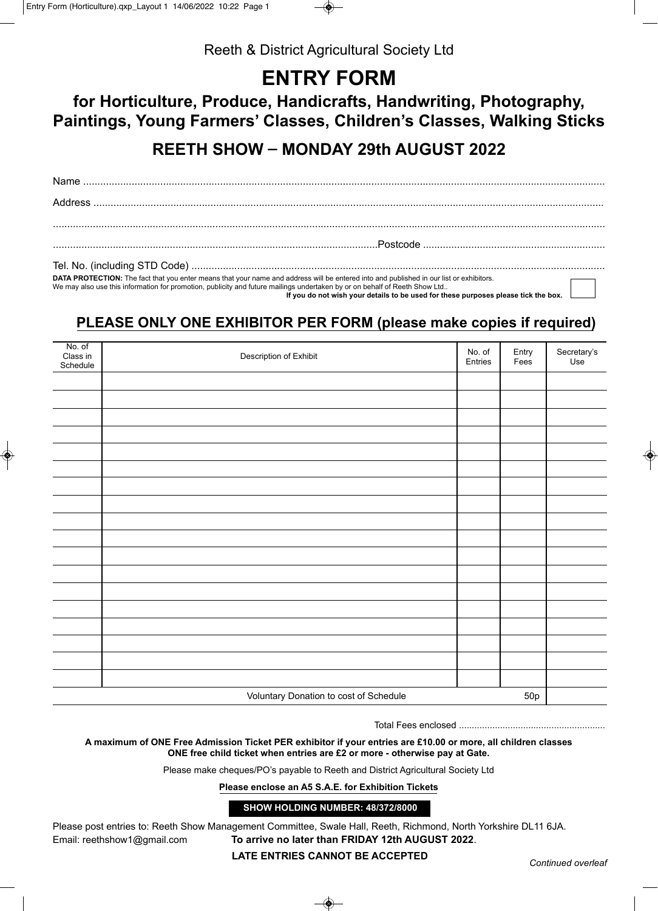

Reeth & District Agricultural Society Ltd

## **ENTRY FORM**

## **for Horticulture, Produce, Handicrafts, Handwriting, Photography, Paintings, Young Farmers' Classes, Children's Classes, Walking Sticks**

**REETH SHOW - MONDAY 29th AUGUST 2022** 

| DATA PROTECTION: The fact that you enter means that your name and address will be entered into and published in our list or exhibitors.<br>We may also use this information for promotion, publicity and future mailings undertaken by or on behalf of Reeth Show Ltd |  |
|-----------------------------------------------------------------------------------------------------------------------------------------------------------------------------------------------------------------------------------------------------------------------|--|

 **If you do not wish your details to be used for these purposes please tick the box.**

## **PLEASE ONLY ONE EXHIBITOR PER FORM (please make copies if required)**

| No. of<br>Class in<br>Schedule                | Description of Exhibit | No. of<br>Entries | Entry<br>Fees | Secretary's<br>Use |
|-----------------------------------------------|------------------------|-------------------|---------------|--------------------|
|                                               |                        |                   |               |                    |
|                                               |                        |                   |               |                    |
|                                               |                        |                   |               |                    |
|                                               |                        |                   |               |                    |
|                                               |                        |                   |               |                    |
|                                               |                        |                   |               |                    |
|                                               |                        |                   |               |                    |
|                                               |                        |                   |               |                    |
|                                               |                        |                   |               |                    |
|                                               |                        |                   |               |                    |
|                                               |                        |                   |               |                    |
|                                               |                        |                   |               |                    |
|                                               |                        |                   |               |                    |
|                                               |                        |                   |               |                    |
|                                               |                        |                   |               |                    |
|                                               |                        |                   |               |                    |
|                                               |                        |                   |               |                    |
|                                               |                        |                   |               |                    |
| Voluntary Donation to cost of Schedule<br>50p |                        |                   |               |                    |

Total Fees enclosed .........................................................

**A maximum of ONE Free Admission Ticket PER exhibitor if your entries are £10.00 or more, all children classes ONE free child ticket when entries are £2 or more - otherwise pay at Gate.**

Please make cheques/PO's payable to Reeth and District Agricultural Society Ltd

**Please enclose an A5 S.A.E. for Exhibition Tickets**

**SHOW HOLDING NUMBER: 48/372/8000**

Please post entries to: Reeth Show Management Committee, Swale Hall, Reeth, Richmond, North Yorkshire DL11 6JA. Email: reethshow1@gmail.com **To arrive no later than FRIDAY 12th AUGUST 2022**.

**LATE ENTRIES CANNOT BE ACCEPTED** *Continued overleaf*